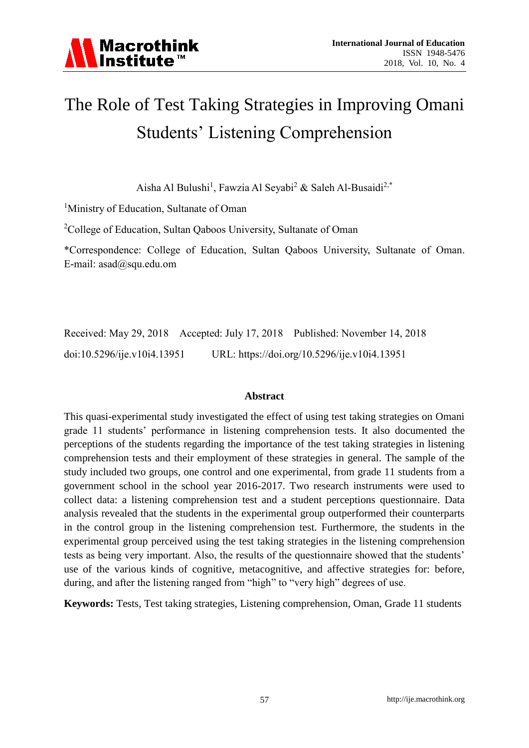

# The Role of Test Taking Strategies in Improving Omani Students' Listening Comprehension

Aisha Al Bulushi<sup>1</sup>, Fawzia Al Seyabi<sup>2</sup> & Saleh Al-Busaidi<sup>2,\*</sup>

<sup>1</sup>Ministry of Education, Sultanate of Oman

<sup>2</sup>College of Education, Sultan Qaboos University, Sultanate of Oman

\*Correspondence: College of Education, Sultan Qaboos University, Sultanate of Oman. E-mail: asad@squ.edu.om

Received: May 29, 2018 Accepted: July 17, 2018 Published: November 14, 2018 doi:10.5296/ije.v10i4.13951 URL: https://doi.org/10.5296/ije.v10i4.13951

#### **Abstract**

This quasi-experimental study investigated the effect of using test taking strategies on Omani grade 11 students' performance in listening comprehension tests. It also documented the perceptions of the students regarding the importance of the test taking strategies in listening comprehension tests and their employment of these strategies in general. The sample of the study included two groups, one control and one experimental, from grade 11 students from a government school in the school year 2016-2017. Two research instruments were used to collect data: a listening comprehension test and a student perceptions questionnaire. Data analysis revealed that the students in the experimental group outperformed their counterparts in the control group in the listening comprehension test. Furthermore, the students in the experimental group perceived using the test taking strategies in the listening comprehension tests as being very important. Also, the results of the questionnaire showed that the students' use of the various kinds of cognitive, metacognitive, and affective strategies for: before, during, and after the listening ranged from "high" to "very high" degrees of use.

**Keywords:** Tests, Test taking strategies, Listening comprehension, Oman, Grade 11 students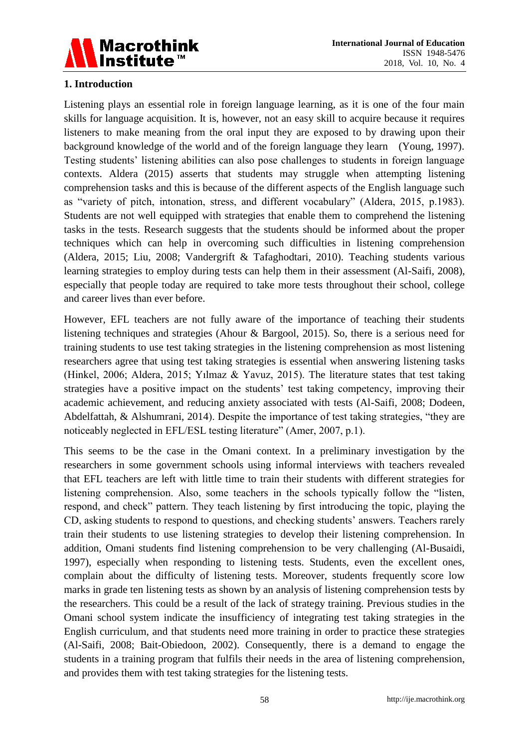

# **1. Introduction**

Listening plays an essential role in foreign language learning, as it is one of the four main skills for language acquisition. It is, however, not an easy skill to acquire because it requires listeners to make meaning from the oral input they are exposed to by drawing upon their background knowledge of the world and of the foreign language they learn (Young, 1997). Testing students' listening abilities can also pose challenges to students in foreign language contexts. Aldera (2015) asserts that students may struggle when attempting listening comprehension tasks and this is because of the different aspects of the English language such as "variety of pitch, intonation, stress, and different vocabulary" (Aldera, 2015, p.1983). Students are not well equipped with strategies that enable them to comprehend the listening tasks in the tests. Research suggests that the students should be informed about the proper techniques which can help in overcoming such difficulties in listening comprehension (Aldera, 2015; Liu, 2008; Vandergrift & Tafaghodtari, 2010). Teaching students various learning strategies to employ during tests can help them in their assessment (Al-Saifi, 2008), especially that people today are required to take more tests throughout their school, college and career lives than ever before.

However, EFL teachers are not fully aware of the importance of teaching their students listening techniques and strategies (Ahour & Bargool, 2015). So, there is a serious need for training students to use test taking strategies in the listening comprehension as most listening researchers agree that using test taking strategies is essential when answering listening tasks (Hinkel, 2006; Aldera, 2015; Yılmaz & Yavuz, 2015). The literature states that test taking strategies have a positive impact on the students' test taking competency, improving their academic achievement, and reducing anxiety associated with tests (Al-Saifi, 2008; Dodeen, Abdelfattah, & Alshumrani, 2014). Despite the importance of test taking strategies, "they are noticeably neglected in EFL/ESL testing literature" (Amer, 2007, p.1).

This seems to be the case in the Omani context. In a preliminary investigation by the researchers in some government schools using informal interviews with teachers revealed that EFL teachers are left with little time to train their students with different strategies for listening comprehension. Also, some teachers in the schools typically follow the "listen, respond, and check" pattern. They teach listening by first introducing the topic, playing the CD, asking students to respond to questions, and checking students' answers. Teachers rarely train their students to use listening strategies to develop their listening comprehension. In addition, Omani students find listening comprehension to be very challenging (Al-Busaidi, 1997), especially when responding to listening tests. Students, even the excellent ones, complain about the difficulty of listening tests. Moreover, students frequently score low marks in grade ten listening tests as shown by an analysis of listening comprehension tests by the researchers. This could be a result of the lack of strategy training. Previous studies in the Omani school system indicate the insufficiency of integrating test taking strategies in the English curriculum, and that students need more training in order to practice these strategies (Al-Saifi, 2008; Bait-Obiedoon, 2002). Consequently, there is a demand to engage the students in a training program that fulfils their needs in the area of listening comprehension, and provides them with test taking strategies for the listening tests.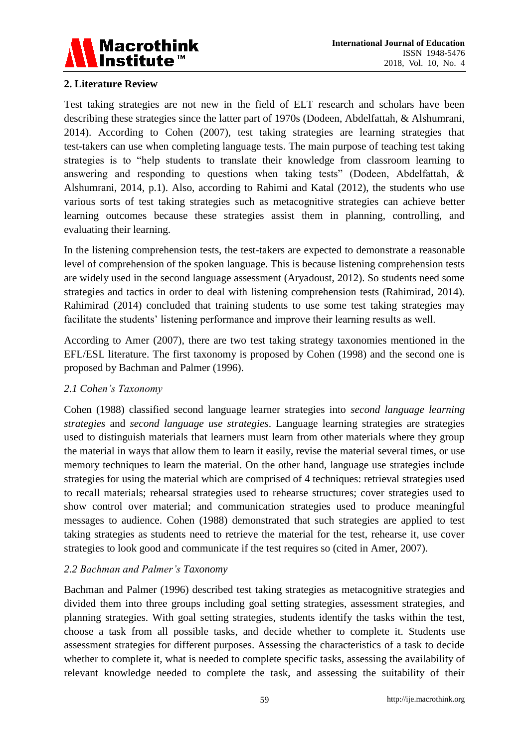

# **2. Literature Review**

Test taking strategies are not new in the field of ELT research and scholars have been describing these strategies since the latter part of 1970s (Dodeen, Abdelfattah, & Alshumrani, 2014). According to Cohen (2007), test taking strategies are learning strategies that test-takers can use when completing language tests. The main purpose of teaching test taking strategies is to "help students to translate their knowledge from classroom learning to answering and responding to questions when taking tests" (Dodeen, Abdelfattah, & Alshumrani, 2014, p.1). Also, according to Rahimi and Katal (2012), the students who use various sorts of test taking strategies such as metacognitive strategies can achieve better learning outcomes because these strategies assist them in planning, controlling, and evaluating their learning.

In the listening comprehension tests, the test-takers are expected to demonstrate a reasonable level of comprehension of the spoken language. This is because listening comprehension tests are widely used in the second language assessment (Aryadoust, 2012). So students need some strategies and tactics in order to deal with listening comprehension tests (Rahimirad, 2014). Rahimirad (2014) concluded that training students to use some test taking strategies may facilitate the students' listening performance and improve their learning results as well.

According to Amer (2007), there are two test taking strategy taxonomies mentioned in the EFL/ESL literature. The first taxonomy is proposed by Cohen (1998) and the second one is proposed by Bachman and Palmer (1996).

# *2.1 Cohen's Taxonomy*

Cohen (1988) classified second language learner strategies into *second language learning strategies* and *second language use strategies*. Language learning strategies are strategies used to distinguish materials that learners must learn from other materials where they group the material in ways that allow them to learn it easily, revise the material several times, or use memory techniques to learn the material. On the other hand, language use strategies include strategies for using the material which are comprised of 4 techniques: retrieval strategies used to recall materials; rehearsal strategies used to rehearse structures; cover strategies used to show control over material; and communication strategies used to produce meaningful messages to audience. Cohen (1988) demonstrated that such strategies are applied to test taking strategies as students need to retrieve the material for the test, rehearse it, use cover strategies to look good and communicate if the test requires so (cited in Amer, 2007).

# *2.2 Bachman and Palmer's Taxonomy*

Bachman and Palmer (1996) described test taking strategies as metacognitive strategies and divided them into three groups including goal setting strategies, assessment strategies, and planning strategies. With goal setting strategies, students identify the tasks within the test, choose a task from all possible tasks, and decide whether to complete it. Students use assessment strategies for different purposes. Assessing the characteristics of a task to decide whether to complete it, what is needed to complete specific tasks, assessing the availability of relevant knowledge needed to complete the task, and assessing the suitability of their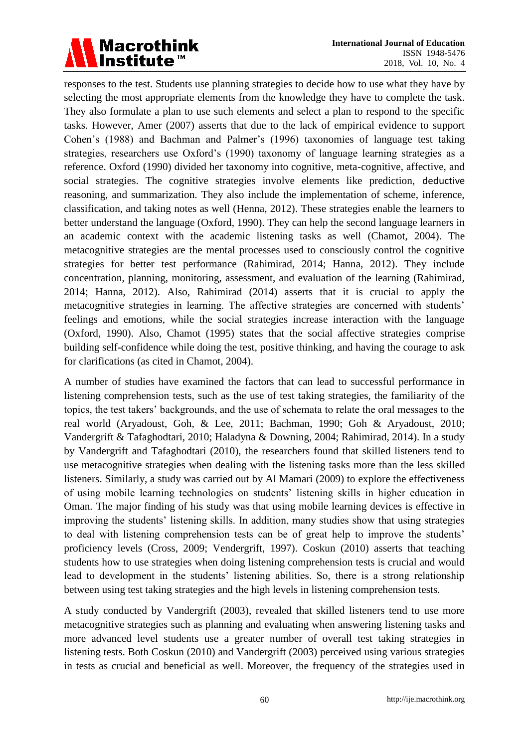# Macrothink<br>|Institute™

responses to the test. Students use planning strategies to decide how to use what they have by selecting the most appropriate elements from the knowledge they have to complete the task. They also formulate a plan to use such elements and select a plan to respond to the specific tasks. However, Amer (2007) asserts that due to the lack of empirical evidence to support Cohen's (1988) and Bachman and Palmer's (1996) taxonomies of language test taking strategies, researchers use Oxford's (1990) taxonomy of language learning strategies as a reference. Oxford (1990) divided her taxonomy into cognitive, meta-cognitive, affective, and social strategies. The cognitive strategies involve elements like prediction, deductive reasoning, and summarization. They also include the implementation of scheme, inference, classification, and taking notes as well (Henna, 2012). These strategies enable the learners to better understand the language (Oxford, 1990). They can help the second language learners in an academic context with the academic listening tasks as well (Chamot, 2004). The metacognitive strategies are the mental processes used to consciously control the cognitive strategies for better test performance (Rahimirad, 2014; Hanna, 2012). They include concentration, planning, monitoring, assessment, and evaluation of the learning (Rahimirad, 2014; Hanna, 2012). Also, Rahimirad (2014) asserts that it is crucial to apply the metacognitive strategies in learning. The affective strategies are concerned with students' feelings and emotions, while the social strategies increase interaction with the language (Oxford, 1990). Also, Chamot (1995) states that the social affective strategies comprise building self-confidence while doing the test, positive thinking, and having the courage to ask for clarifications (as cited in Chamot, 2004).

A number of studies have examined the factors that can lead to successful performance in listening comprehension tests, such as the use of test taking strategies, the familiarity of the topics, the test takers' backgrounds, and the use of schemata to relate the oral messages to the real world (Aryadoust, Goh, & Lee, 2011; Bachman, 1990; Goh & Aryadoust, 2010; Vandergrift & Tafaghodtari, 2010; Haladyna & Downing, 2004; Rahimirad, 2014). In a study by Vandergrift and Tafaghodtari (2010), the researchers found that skilled listeners tend to use metacognitive strategies when dealing with the listening tasks more than the less skilled listeners. Similarly, a study was carried out by Al Mamari (2009) to explore the effectiveness of using mobile learning technologies on students' listening skills in higher education in Oman. The major finding of his study was that using mobile learning devices is effective in improving the students' listening skills. In addition, many studies show that using strategies to deal with listening comprehension tests can be of great help to improve the students' proficiency levels (Cross, 2009; Vendergrift, 1997). Coskun (2010) asserts that teaching students how to use strategies when doing listening comprehension tests is crucial and would lead to development in the students' listening abilities. So, there is a strong relationship between using test taking strategies and the high levels in listening comprehension tests.

A study conducted by Vandergrift (2003), revealed that skilled listeners tend to use more metacognitive strategies such as planning and evaluating when answering listening tasks and more advanced level students use a greater number of overall test taking strategies in listening tests. Both Coskun (2010) and Vandergrift (2003) perceived using various strategies in tests as crucial and beneficial as well. Moreover, the frequency of the strategies used in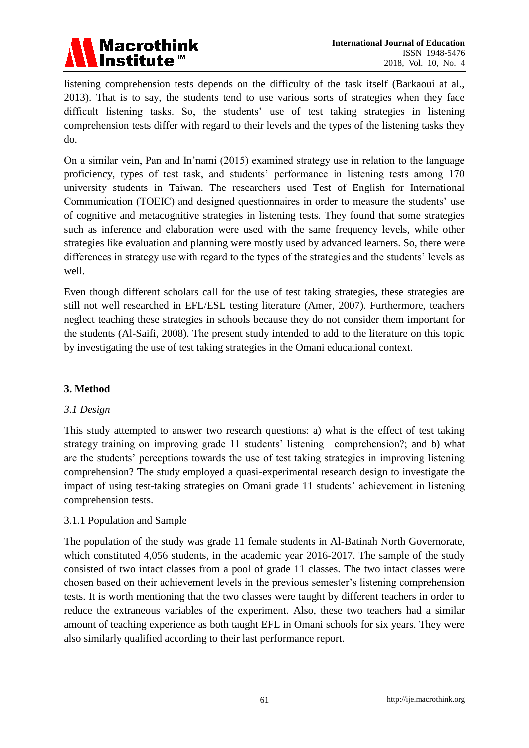

listening comprehension tests depends on the difficulty of the task itself (Barkaoui at al., 2013). That is to say, the students tend to use various sorts of strategies when they face difficult listening tasks. So, the students' use of test taking strategies in listening comprehension tests differ with regard to their levels and the types of the listening tasks they do.

On a similar vein, Pan and In'nami (2015) examined strategy use in relation to the language proficiency, types of test task, and students' performance in listening tests among 170 university students in Taiwan. The researchers used Test of English for International Communication (TOEIC) and designed questionnaires in order to measure the students' use of cognitive and metacognitive strategies in listening tests. They found that some strategies such as inference and elaboration were used with the same frequency levels, while other strategies like evaluation and planning were mostly used by advanced learners. So, there were differences in strategy use with regard to the types of the strategies and the students' levels as well.

Even though different scholars call for the use of test taking strategies, these strategies are still not well researched in EFL/ESL testing literature (Amer, 2007). Furthermore, teachers neglect teaching these strategies in schools because they do not consider them important for the students (Al-Saifi, 2008). The present study intended to add to the literature on this topic by investigating the use of test taking strategies in the Omani educational context.

# **3. Method**

# *3.1 Design*

This study attempted to answer two research questions: a) what is the effect of test taking strategy training on improving grade 11 students' listening comprehension?; and b) what are the students' perceptions towards the use of test taking strategies in improving listening comprehension? The study employed a quasi-experimental research design to investigate the impact of using test-taking strategies on Omani grade 11 students' achievement in listening comprehension tests.

#### 3.1.1 Population and Sample

The population of the study was grade 11 female students in Al-Batinah North Governorate, which constituted 4,056 students, in the academic year 2016-2017. The sample of the study consisted of two intact classes from a pool of grade 11 classes. The two intact classes were chosen based on their achievement levels in the previous semester's listening comprehension tests. It is worth mentioning that the two classes were taught by different teachers in order to reduce the extraneous variables of the experiment. Also, these two teachers had a similar amount of teaching experience as both taught EFL in Omani schools for six years. They were also similarly qualified according to their last performance report.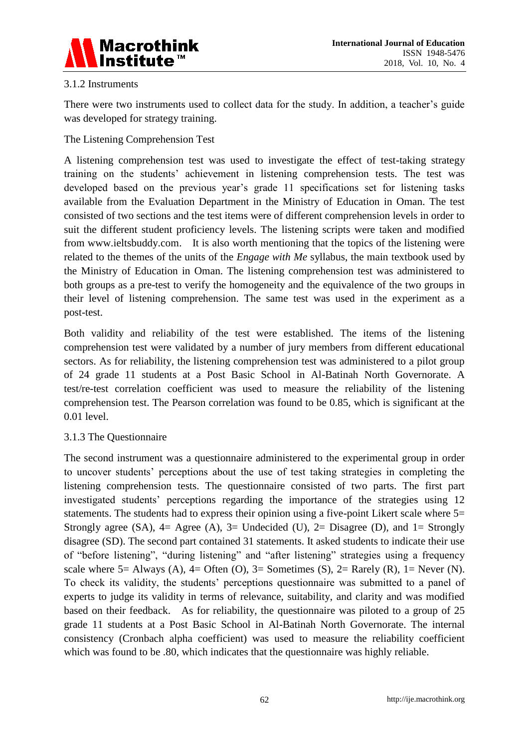

# 3.1.2 Instruments

There were two instruments used to collect data for the study. In addition, a teacher's guide was developed for strategy training.

The Listening Comprehension Test

A listening comprehension test was used to investigate the effect of test-taking strategy training on the students' achievement in listening comprehension tests. The test was developed based on the previous year's grade 11 specifications set for listening tasks available from the Evaluation Department in the Ministry of Education in Oman. The test consisted of two sections and the test items were of different comprehension levels in order to suit the different student proficiency levels. The listening scripts were taken and modified from [www.ieltsbuddy.com.](http://www.ieltsbuddy.com/) It is also worth mentioning that the topics of the listening were related to the themes of the units of the *Engage with Me* syllabus, the main textbook used by the Ministry of Education in Oman. The listening comprehension test was administered to both groups as a pre-test to verify the homogeneity and the equivalence of the two groups in their level of listening comprehension. The same test was used in the experiment as a post-test.

Both validity and reliability of the test were established. The items of the listening comprehension test were validated by a number of jury members from different educational sectors. As for reliability, the listening comprehension test was administered to a pilot group of 24 grade 11 students at a Post Basic School in Al-Batinah North Governorate. A test/re-test correlation coefficient was used to measure the reliability of the listening comprehension test. The Pearson correlation was found to be 0.85, which is significant at the 0.01 level.

# 3.1.3 The Questionnaire

The second instrument was a questionnaire administered to the experimental group in order to uncover students' perceptions about the use of test taking strategies in completing the listening comprehension tests. The questionnaire consisted of two parts. The first part investigated students' perceptions regarding the importance of the strategies using 12 statements. The students had to express their opinion using a five-point Likert scale where 5= Strongly agree (SA),  $4=$  Agree (A),  $3=$  Undecided (U),  $2=$  Disagree (D), and  $1=$  Strongly disagree (SD). The second part contained 31 statements. It asked students to indicate their use of "before listening", "during listening" and "after listening" strategies using a frequency scale where  $5=$  Always (A),  $4=$  Often (O),  $3=$  Sometimes (S),  $2=$  Rarely (R),  $1=$  Never (N). To check its validity, the students' perceptions questionnaire was submitted to a panel of experts to judge its validity in terms of relevance, suitability, and clarity and was modified based on their feedback. As for reliability, the questionnaire was piloted to a group of 25 grade 11 students at a Post Basic School in Al-Batinah North Governorate. The internal consistency (Cronbach alpha coefficient) was used to measure the reliability coefficient which was found to be .80, which indicates that the questionnaire was highly reliable.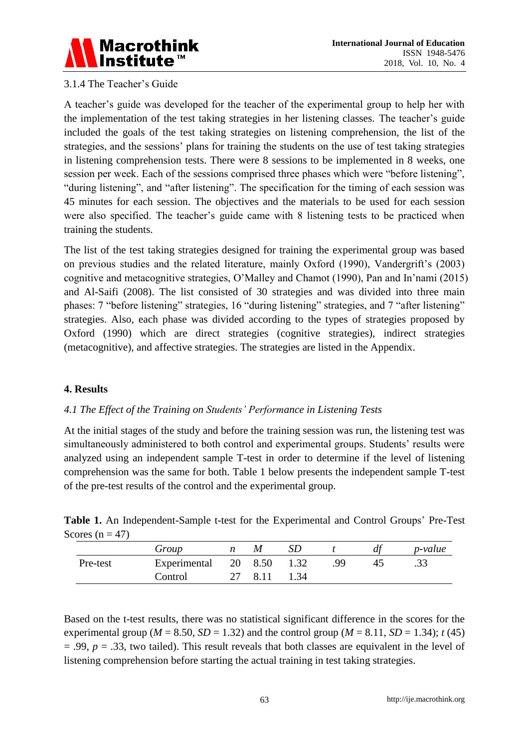

# 3.1.4 The Teacher's Guide

A teacher's guide was developed for the teacher of the experimental group to help her with the implementation of the test taking strategies in her listening classes. The teacher's guide included the goals of the test taking strategies on listening comprehension, the list of the strategies, and the sessions' plans for training the students on the use of test taking strategies in listening comprehension tests. There were 8 sessions to be implemented in 8 weeks, one session per week. Each of the sessions comprised three phases which were "before listening", "during listening", and "after listening". The specification for the timing of each session was 45 minutes for each session. The objectives and the materials to be used for each session were also specified. The teacher's guide came with 8 listening tests to be practiced when training the students.

The list of the test taking strategies designed for training the experimental group was based on previous studies and the related literature, mainly Oxford (1990), Vandergrift's (2003) cognitive and metacognitive strategies, O'Malley and Chamot (1990), Pan and In'nami (2015) and Al-Saifi (2008). The list consisted of 30 strategies and was divided into three main phases: 7 "before listening" strategies, 16 "during listening" strategies, and 7 "after listening" strategies. Also, each phase was divided according to the types of strategies proposed by Oxford (1990) which are direct strategies (cognitive strategies), indirect strategies (metacognitive), and affective strategies. The strategies are listed in the Appendix.

#### **4. Results**

#### *4.1 The Effect of the Training on Students' Performance in Listening Tests*

At the initial stages of the study and before the training session was run, the listening test was simultaneously administered to both control and experimental groups. Students' results were analyzed using an independent sample T-test in order to determine if the level of listening comprehension was the same for both. Table 1 below presents the independent sample T-test of the pre-test results of the control and the experimental group.

**Table 1.** An Independent-Sample t-test for the Experimental and Control Groups' Pre-Test Scores ( $n = 47$ )

|          | Group                |      |      |     | $\mu$ | <i>p</i> -value |
|----------|----------------------|------|------|-----|-------|-----------------|
| Pre-test | Experimental 20 8.50 |      | 1.32 | .99 |       | .33             |
|          | Control              | 8.11 | 1.34 |     |       |                 |

Based on the t-test results, there was no statistical significant difference in the scores for the experimental group ( $M = 8.50$ ,  $SD = 1.32$ ) and the control group ( $M = 8.11$ ,  $SD = 1.34$ ); *t* (45) = .99, *p* = .33, two tailed). This result reveals that both classes are equivalent in the level of listening comprehension before starting the actual training in test taking strategies.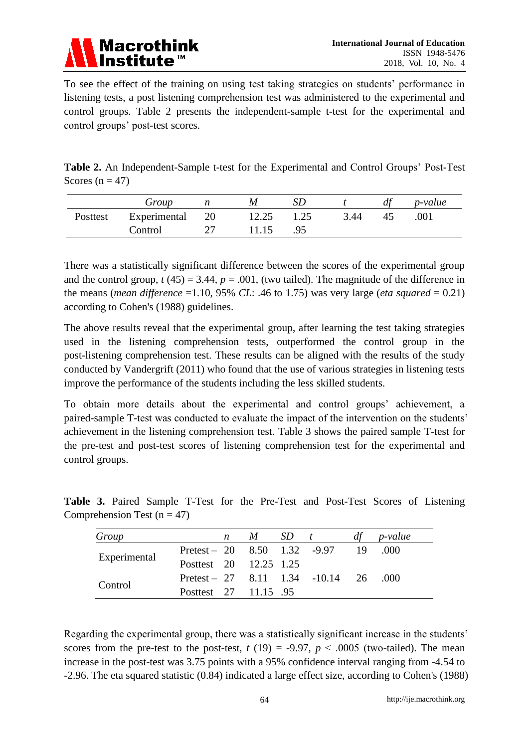

To see the effect of the training on using test taking strategies on students' performance in listening tests, a post listening comprehension test was administered to the experimental and control groups. Table 2 presents the independent-sample t-test for the experimental and control groups' post-test scores.

|                   |  |  | <b>Table 2.</b> An Independent-Sample t-test for the Experimental and Control Groups' Post-Test |  |  |
|-------------------|--|--|-------------------------------------------------------------------------------------------------|--|--|
| Scores $(n = 47)$ |  |  |                                                                                                 |  |  |

|          | Group        |    |       | SD   |      | df | <i>p</i> -value |
|----------|--------------|----|-------|------|------|----|-----------------|
| Posttest | Experimental | 20 | 12.25 | 1.25 | 3.44 | 45 | .001            |
|          | Control      |    | 11.15 | .95  |      |    |                 |

There was a statistically significant difference between the scores of the experimental group and the control group,  $t(45) = 3.44$ ,  $p = .001$ , (two tailed). The magnitude of the difference in the means (*mean difference* =1.10, 95% *CL*: .46 to 1.75) was very large (*eta squared* = 0.21) according to Cohen's (1988) guidelines.

The above results reveal that the experimental group, after learning the test taking strategies used in the listening comprehension tests, outperformed the control group in the post-listening comprehension test. These results can be aligned with the results of the study conducted by Vandergrift (2011) who found that the use of various strategies in listening tests improve the performance of the students including the less skilled students.

To obtain more details about the experimental and control groups' achievement, a paired-sample T-test was conducted to evaluate the impact of the intervention on the students' achievement in the listening comprehension test. Table 3 shows the paired sample T-test for the pre-test and post-test scores of listening comprehension test for the experimental and control groups.

| Group        |                                        | $n \quad M \quad SD \quad t$ |  | df | <i>p</i> -value |
|--------------|----------------------------------------|------------------------------|--|----|-----------------|
| Experimental | Pretest – 20 $8.50$ 1.32 -9.97 19 .000 |                              |  |    |                 |
|              | Posttest 20 12.25 1.25                 |                              |  |    |                 |
| Control      | Pretest – 27 8.11 1.34 -10.14 26       |                              |  |    | - 000           |
|              | Posttest 27 11.15 .95                  |                              |  |    |                 |

**Table 3.** Paired Sample T-Test for the Pre-Test and Post-Test Scores of Listening Comprehension Test ( $n = 47$ )

Regarding the experimental group, there was a statistically significant increase in the students' scores from the pre-test to the post-test,  $t(19) = -9.97$ ,  $p < .0005$  (two-tailed). The mean increase in the post-test was 3.75 points with a 95% confidence interval ranging from -4.54 to -2.96. The eta squared statistic (0.84) indicated a large effect size, according to Cohen's (1988)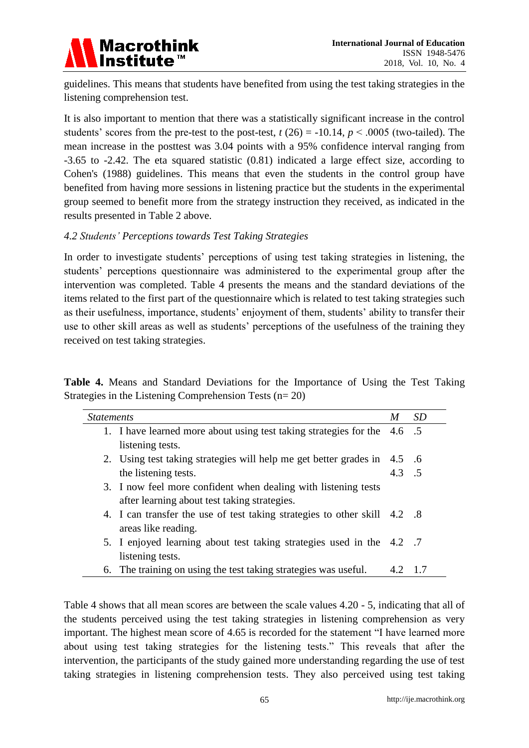

guidelines. This means that students have benefited from using the test taking strategies in the listening comprehension test.

It is also important to mention that there was a statistically significant increase in the control students' scores from the pre-test to the post-test,  $t(26) = -10.14$ ,  $p < .0005$  (two-tailed). The mean increase in the posttest was 3.04 points with a 95% confidence interval ranging from -3.65 to -2.42. The eta squared statistic (0.81) indicated a large effect size, according to Cohen's (1988) guidelines. This means that even the students in the control group have benefited from having more sessions in listening practice but the students in the experimental group seemed to benefit more from the strategy instruction they received, as indicated in the results presented in Table 2 above.

# *4.2 Students' Perceptions towards Test Taking Strategies*

In order to investigate students' perceptions of using test taking strategies in listening, the students' perceptions questionnaire was administered to the experimental group after the intervention was completed. Table 4 presents the means and the standard deviations of the items related to the first part of the questionnaire which is related to test taking strategies such as their usefulness, importance, students' enjoyment of them, students' ability to transfer their use to other skill areas as well as students' perceptions of the usefulness of the training they received on test taking strategies.

|  |  |                                                          |  | <b>Table 4.</b> Means and Standard Deviations for the Importance of Using the Test Taking |  |  |  |
|--|--|----------------------------------------------------------|--|-------------------------------------------------------------------------------------------|--|--|--|
|  |  | Strategies in the Listening Comprehension Tests $(n=20)$ |  |                                                                                           |  |  |  |

| <i>Statements</i> |                                                                           | M              | <b>SD</b> |
|-------------------|---------------------------------------------------------------------------|----------------|-----------|
|                   | 1. I have learned more about using test taking strategies for the 4.6 .5  |                |           |
|                   | listening tests.                                                          |                |           |
|                   | 2. Using test taking strategies will help me get better grades in 4.5 .6  |                |           |
|                   | the listening tests.                                                      | $4.3 \quad .5$ |           |
|                   | 3. I now feel more confident when dealing with listening tests            |                |           |
|                   | after learning about test taking strategies.                              |                |           |
|                   | 4. I can transfer the use of test taking strategies to other skill 4.2 .8 |                |           |
|                   | areas like reading.                                                       |                |           |
|                   | 5. I enjoyed learning about test taking strategies used in the 4.2 .7     |                |           |
|                   | listening tests.                                                          |                |           |
|                   | 6. The training on using the test taking strategies was useful.           |                | -1.7      |

Table 4 shows that all mean scores are between the scale values 4.20 - 5, indicating that all of the students perceived using the test taking strategies in listening comprehension as very important. The highest mean score of 4.65 is recorded for the statement "I have learned more about using test taking strategies for the listening tests." This reveals that after the intervention, the participants of the study gained more understanding regarding the use of test taking strategies in listening comprehension tests. They also perceived using test taking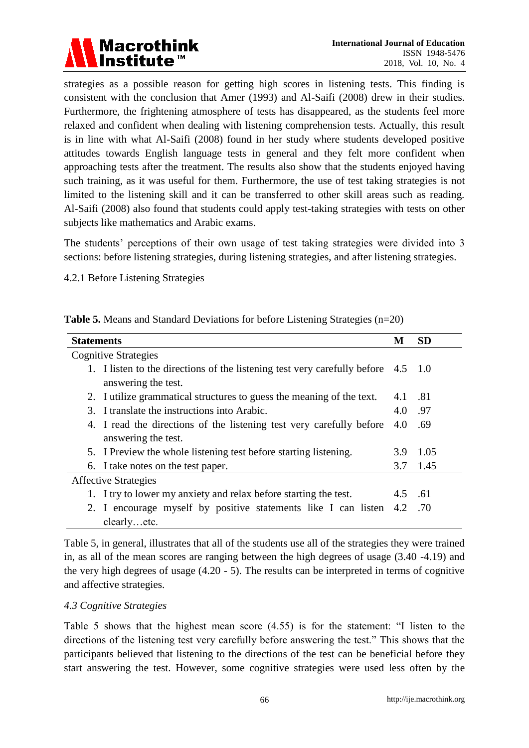

strategies as a possible reason for getting high scores in listening tests. This finding is consistent with the conclusion that Amer (1993) and Al-Saifi (2008) drew in their studies. Furthermore, the frightening atmosphere of tests has disappeared, as the students feel more relaxed and confident when dealing with listening comprehension tests. Actually, this result is in line with what Al-Saifi (2008) found in her study where students developed positive attitudes towards English language tests in general and they felt more confident when approaching tests after the treatment. The results also show that the students enjoyed having such training, as it was useful for them. Furthermore, the use of test taking strategies is not limited to the listening skill and it can be transferred to other skill areas such as reading. Al-Saifi (2008) also found that students could apply test-taking strategies with tests on other subjects like mathematics and Arabic exams.

The students' perceptions of their own usage of test taking strategies were divided into 3 sections: before listening strategies, during listening strategies, and after listening strategies.

4.2.1 Before Listening Strategies

| <b>Table 5.</b> Means and Standard Deviations for before Listening Strategies (n=20) |  |  |  |
|--------------------------------------------------------------------------------------|--|--|--|
|                                                                                      |  |  |  |

| <b>Statements</b>                                                                 | M       | <b>SD</b> |
|-----------------------------------------------------------------------------------|---------|-----------|
| <b>Cognitive Strategies</b>                                                       |         |           |
| 1. I listen to the directions of the listening test very carefully before 4.5 1.0 |         |           |
| answering the test.                                                               |         |           |
| 2. I utilize grammatical structures to guess the meaning of the text.             | 4.1     | -81       |
| 3. I translate the instructions into Arabic.                                      | 4.0     | .97       |
| 4. I read the directions of the listening test very carefully before              | 4.0     | .69       |
| answering the test.                                                               |         |           |
| 5. I Preview the whole listening test before starting listening.                  | 3.9     | 1.05      |
| 6. I take notes on the test paper.                                                | 3.7     | 1.45      |
| <b>Affective Strategies</b>                                                       |         |           |
| 1. I try to lower my anxiety and relax before starting the test.                  | 4.5     | .61       |
| 2. I encourage myself by positive statements like I can listen                    | 4.2 .70 |           |
| clearlyetc.                                                                       |         |           |

Table 5, in general, illustrates that all of the students use all of the strategies they were trained in, as all of the mean scores are ranging between the high degrees of usage (3.40 -4.19) and the very high degrees of usage (4.20 - 5). The results can be interpreted in terms of cognitive and affective strategies.

#### *4.3 Cognitive Strategies*

Table 5 shows that the highest mean score (4.55) is for the statement: "I listen to the directions of the listening test very carefully before answering the test." This shows that the participants believed that listening to the directions of the test can be beneficial before they start answering the test. However, some cognitive strategies were used less often by the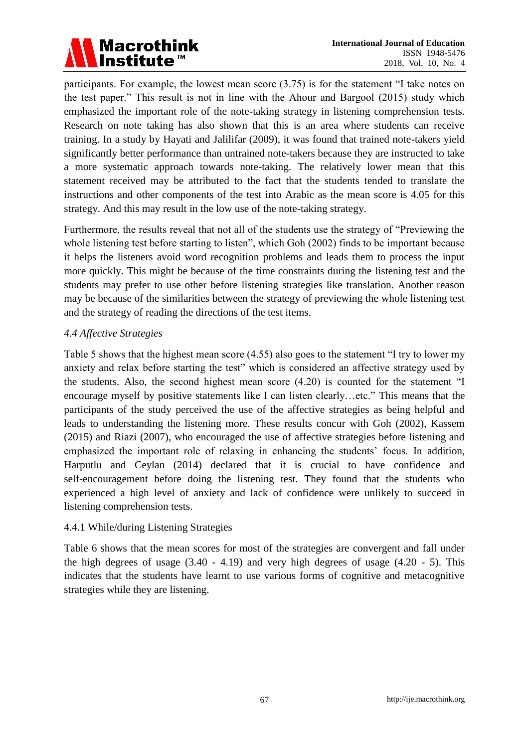

participants. For example, the lowest mean score (3.75) is for the statement "I take notes on the test paper." This result is not in line with the Ahour and Bargool (2015) study which emphasized the important role of the note-taking strategy in listening comprehension tests. Research on note taking has also shown that this is an area where students can receive training. In a study by Hayati and Jalilifar (2009), it was found that trained note-takers yield significantly better performance than untrained note-takers because they are instructed to take a more systematic approach towards note-taking. The relatively lower mean that this statement received may be attributed to the fact that the students tended to translate the instructions and other components of the test into Arabic as the mean score is 4.05 for this strategy. And this may result in the low use of the note-taking strategy.

Furthermore, the results reveal that not all of the students use the strategy of "Previewing the whole listening test before starting to listen", which Goh (2002) finds to be important because it helps the listeners avoid word recognition problems and leads them to process the input more quickly. This might be because of the time constraints during the listening test and the students may prefer to use other before listening strategies like translation. Another reason may be because of the similarities between the strategy of previewing the whole listening test and the strategy of reading the directions of the test items.

# *4.4 Affective Strategies*

Table 5 shows that the highest mean score (4.55) also goes to the statement "I try to lower my anxiety and relax before starting the test" which is considered an affective strategy used by the students. Also, the second highest mean score (4.20) is counted for the statement "I encourage myself by positive statements like I can listen clearly…etc." This means that the participants of the study perceived the use of the affective strategies as being helpful and leads to understanding the listening more. These results concur with Goh (2002), Kassem (2015) and Riazi (2007), who encouraged the use of affective strategies before listening and emphasized the important role of relaxing in enhancing the students' focus. In addition, Harputlu and Ceylan (2014) declared that it is crucial to have confidence and self-encouragement before doing the listening test. They found that the students who experienced a high level of anxiety and lack of confidence were unlikely to succeed in listening comprehension tests.

#### 4.4.1 While/during Listening Strategies

Table 6 shows that the mean scores for most of the strategies are convergent and fall under the high degrees of usage  $(3.40 - 4.19)$  and very high degrees of usage  $(4.20 - 5)$ . This indicates that the students have learnt to use various forms of cognitive and metacognitive strategies while they are listening.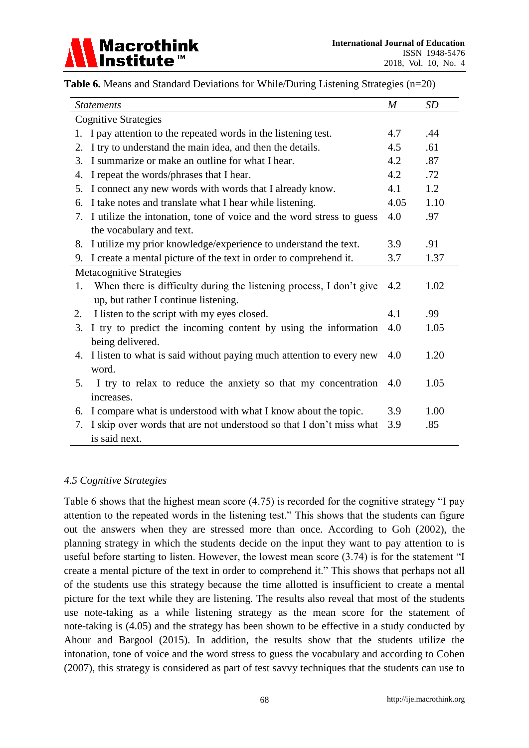

| <i>Statements</i>                                                         | $\boldsymbol{M}$ | SD   |
|---------------------------------------------------------------------------|------------------|------|
| <b>Cognitive Strategies</b>                                               |                  |      |
| I pay attention to the repeated words in the listening test.<br>1.        | 4.7              | .44  |
| I try to understand the main idea, and then the details.<br>2.            | 4.5              | .61  |
| I summarize or make an outline for what I hear.<br>3.                     | 4.2              | .87  |
| I repeat the words/phrases that I hear.<br>4.                             | 4.2              | .72  |
| I connect any new words with words that I already know.<br>5.             | 4.1              | 1.2  |
| I take notes and translate what I hear while listening.<br>б.             | 4.05             | 1.10 |
| 7. I utilize the intonation, tone of voice and the word stress to guess   | 4.0              | .97  |
| the vocabulary and text.                                                  |                  |      |
| I utilize my prior knowledge/experience to understand the text.<br>8.     | 3.9              | .91  |
| 9. I create a mental picture of the text in order to comprehend it.       | 3.7              | 1.37 |
| Metacognitive Strategies                                                  |                  |      |
| When there is difficulty during the listening process, I don't give<br>1. | 4.2              | 1.02 |
| up, but rather I continue listening.                                      |                  |      |
| I listen to the script with my eyes closed.<br>2.                         | 4.1              | .99  |
| I try to predict the incoming content by using the information<br>3.      | 4.0              | 1.05 |
| being delivered.                                                          |                  |      |
| 4. I listen to what is said without paying much attention to every new    | 4.0              | 1.20 |
| word.                                                                     |                  |      |
| I try to relax to reduce the anxiety so that my concentration<br>5.       | 4.0              | 1.05 |
| increases.                                                                |                  |      |
| 6. I compare what is understood with what I know about the topic.         | 3.9              | 1.00 |
| I skip over words that are not understood so that I don't miss what<br>7. | 3.9              | .85  |
| is said next.                                                             |                  |      |

**Table 6.** Means and Standard Deviations for While/During Listening Strategies (n=20)

# *4.5 Cognitive Strategies*

Table 6 shows that the highest mean score (4.75) is recorded for the cognitive strategy "I pay attention to the repeated words in the listening test." This shows that the students can figure out the answers when they are stressed more than once. According to Goh (2002), the planning strategy in which the students decide on the input they want to pay attention to is useful before starting to listen. However, the lowest mean score (3.74) is for the statement "I create a mental picture of the text in order to comprehend it." This shows that perhaps not all of the students use this strategy because the time allotted is insufficient to create a mental picture for the text while they are listening. The results also reveal that most of the students use note-taking as a while listening strategy as the mean score for the statement of note-taking is (4.05) and the strategy has been shown to be effective in a study conducted by Ahour and Bargool (2015). In addition, the results show that the students utilize the intonation, tone of voice and the word stress to guess the vocabulary and according to Cohen (2007), this strategy is considered as part of test savvy techniques that the students can use to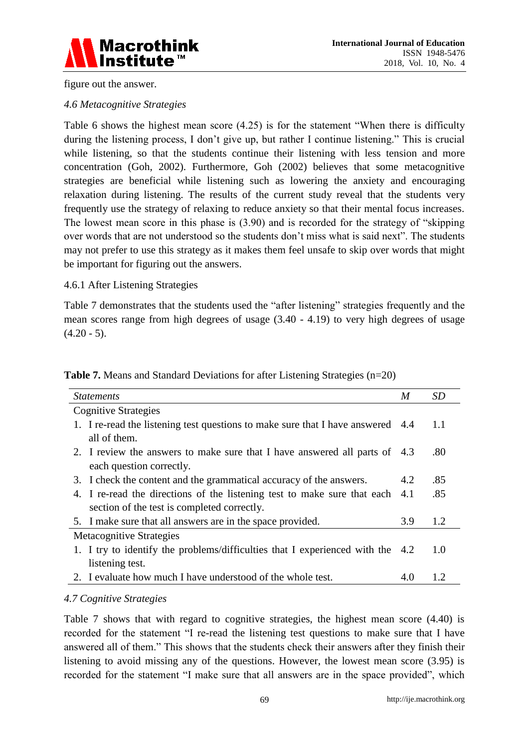

figure out the answer.

#### *4.6 Metacognitive Strategies*

Table 6 shows the highest mean score (4.25) is for the statement "When there is difficulty during the listening process, I don't give up, but rather I continue listening." This is crucial while listening, so that the students continue their listening with less tension and more concentration (Goh, 2002). Furthermore, Goh (2002) believes that some metacognitive strategies are beneficial while listening such as lowering the anxiety and encouraging relaxation during listening. The results of the current study reveal that the students very frequently use the strategy of relaxing to reduce anxiety so that their mental focus increases. The lowest mean score in this phase is (3.90) and is recorded for the strategy of "skipping over words that are not understood so the students don't miss what is said next". The students may not prefer to use this strategy as it makes them feel unsafe to skip over words that might be important for figuring out the answers.

#### 4.6.1 After Listening Strategies

Table 7 demonstrates that the students used the "after listening" strategies frequently and the mean scores range from high degrees of usage (3.40 - 4.19) to very high degrees of usage  $(4.20 - 5)$ .

| <b>Statements</b>                                                               | M    | <b>SD</b> |
|---------------------------------------------------------------------------------|------|-----------|
| <b>Cognitive Strategies</b>                                                     |      |           |
| 1. I re-read the listening test questions to make sure that I have answered 4.4 |      | 1.1       |
| all of them.                                                                    |      |           |
| 2. I review the answers to make sure that I have answered all parts of 4.3      |      | .80       |
| each question correctly.                                                        |      |           |
| 3. I check the content and the grammatical accuracy of the answers.             | 4.2  | .85       |
| 4. I re-read the directions of the listening test to make sure that each        | 4.1  | .85       |
| section of the test is completed correctly.                                     |      |           |
| 5. I make sure that all answers are in the space provided.                      | 3.9  | 1.2       |
| Metacognitive Strategies                                                        |      |           |
| 1. I try to identify the problems/difficulties that I experienced with the      | -4.2 | 1.0       |
| listening test.                                                                 |      |           |
| 2. I evaluate how much I have understood of the whole test.                     | 4.0  | 1.2       |

**Table 7.** Means and Standard Deviations for after Listening Strategies (n=20)

# *4.7 Cognitive Strategies*

Table 7 shows that with regard to cognitive strategies, the highest mean score (4.40) is recorded for the statement "I re-read the listening test questions to make sure that I have answered all of them." This shows that the students check their answers after they finish their listening to avoid missing any of the questions. However, the lowest mean score (3.95) is recorded for the statement "I make sure that all answers are in the space provided", which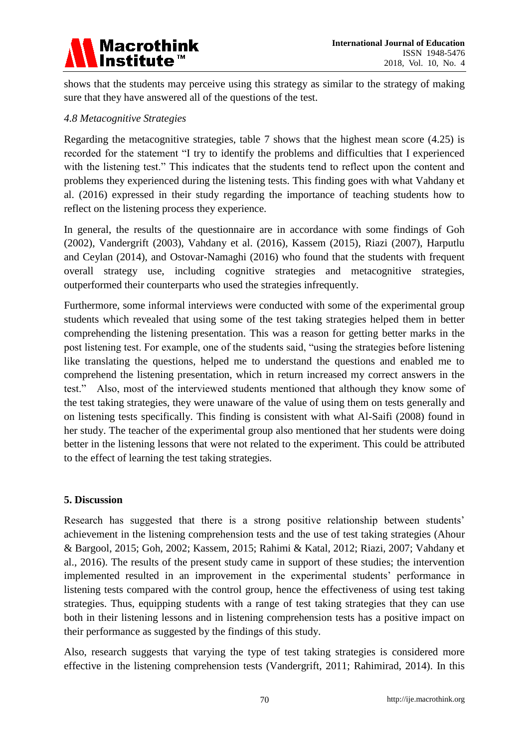

shows that the students may perceive using this strategy as similar to the strategy of making sure that they have answered all of the questions of the test.

#### *4.8 Metacognitive Strategies*

Regarding the metacognitive strategies, table 7 shows that the highest mean score (4.25) is recorded for the statement "I try to identify the problems and difficulties that I experienced with the listening test." This indicates that the students tend to reflect upon the content and problems they experienced during the listening tests. This finding goes with what Vahdany et al. (2016) expressed in their study regarding the importance of teaching students how to reflect on the listening process they experience.

In general, the results of the questionnaire are in accordance with some findings of Goh (2002), Vandergrift (2003), Vahdany et al. (2016), Kassem (2015), Riazi (2007), Harputlu and Ceylan (2014), and Ostovar-Namaghi (2016) who found that the students with frequent overall strategy use, including cognitive strategies and metacognitive strategies, outperformed their counterparts who used the strategies infrequently.

Furthermore, some informal interviews were conducted with some of the experimental group students which revealed that using some of the test taking strategies helped them in better comprehending the listening presentation. This was a reason for getting better marks in the post listening test. For example, one of the students said, "using the strategies before listening like translating the questions, helped me to understand the questions and enabled me to comprehend the listening presentation, which in return increased my correct answers in the test." Also, most of the interviewed students mentioned that although they know some of the test taking strategies, they were unaware of the value of using them on tests generally and on listening tests specifically. This finding is consistent with what Al-Saifi (2008) found in her study. The teacher of the experimental group also mentioned that her students were doing better in the listening lessons that were not related to the experiment. This could be attributed to the effect of learning the test taking strategies.

# **5. Discussion**

Research has suggested that there is a strong positive relationship between students' achievement in the listening comprehension tests and the use of test taking strategies (Ahour & Bargool, 2015; Goh, 2002; Kassem, 2015; Rahimi & Katal, 2012; Riazi, 2007; Vahdany et al., 2016). The results of the present study came in support of these studies; the intervention implemented resulted in an improvement in the experimental students' performance in listening tests compared with the control group, hence the effectiveness of using test taking strategies. Thus, equipping students with a range of test taking strategies that they can use both in their listening lessons and in listening comprehension tests has a positive impact on their performance as suggested by the findings of this study.

Also, research suggests that varying the type of test taking strategies is considered more effective in the listening comprehension tests (Vandergrift, 2011; Rahimirad, 2014). In this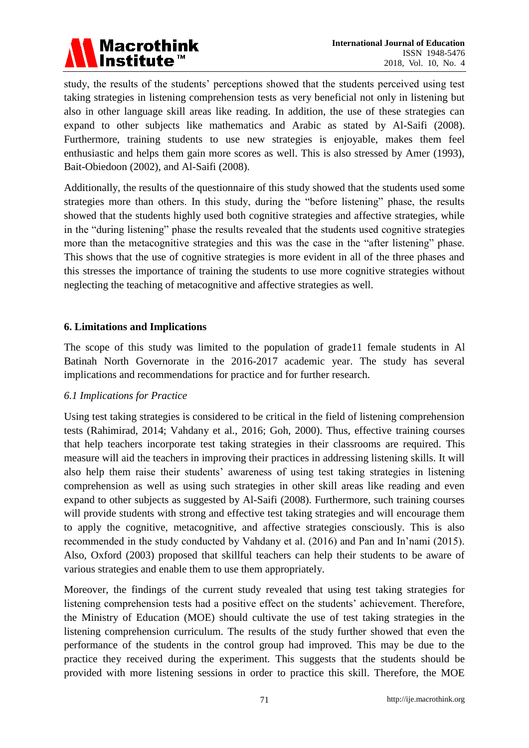

study, the results of the students' perceptions showed that the students perceived using test taking strategies in listening comprehension tests as very beneficial not only in listening but also in other language skill areas like reading. In addition, the use of these strategies can expand to other subjects like mathematics and Arabic as stated by Al-Saifi (2008). Furthermore, training students to use new strategies is enjoyable, makes them feel enthusiastic and helps them gain more scores as well. This is also stressed by Amer (1993), Bait-Obiedoon (2002), and Al-Saifi (2008).

Additionally, the results of the questionnaire of this study showed that the students used some strategies more than others. In this study, during the "before listening" phase, the results showed that the students highly used both cognitive strategies and affective strategies, while in the "during listening" phase the results revealed that the students used cognitive strategies more than the metacognitive strategies and this was the case in the "after listening" phase. This shows that the use of cognitive strategies is more evident in all of the three phases and this stresses the importance of training the students to use more cognitive strategies without neglecting the teaching of metacognitive and affective strategies as well.

#### **6. Limitations and Implications**

The scope of this study was limited to the population of grade11 female students in Al Batinah North Governorate in the 2016-2017 academic year. The study has several implications and recommendations for practice and for further research.

#### *6.1 Implications for Practice*

Using test taking strategies is considered to be critical in the field of listening comprehension tests (Rahimirad, 2014; Vahdany et al., 2016; Goh, 2000). Thus, effective training courses that help teachers incorporate test taking strategies in their classrooms are required. This measure will aid the teachers in improving their practices in addressing listening skills. It will also help them raise their students' awareness of using test taking strategies in listening comprehension as well as using such strategies in other skill areas like reading and even expand to other subjects as suggested by Al-Saifi (2008). Furthermore, such training courses will provide students with strong and effective test taking strategies and will encourage them to apply the cognitive, metacognitive, and affective strategies consciously. This is also recommended in the study conducted by Vahdany et al. (2016) and Pan and In'nami (2015). Also, Oxford (2003) proposed that skillful teachers can help their students to be aware of various strategies and enable them to use them appropriately.

Moreover, the findings of the current study revealed that using test taking strategies for listening comprehension tests had a positive effect on the students' achievement. Therefore, the Ministry of Education (MOE) should cultivate the use of test taking strategies in the listening comprehension curriculum. The results of the study further showed that even the performance of the students in the control group had improved. This may be due to the practice they received during the experiment. This suggests that the students should be provided with more listening sessions in order to practice this skill. Therefore, the MOE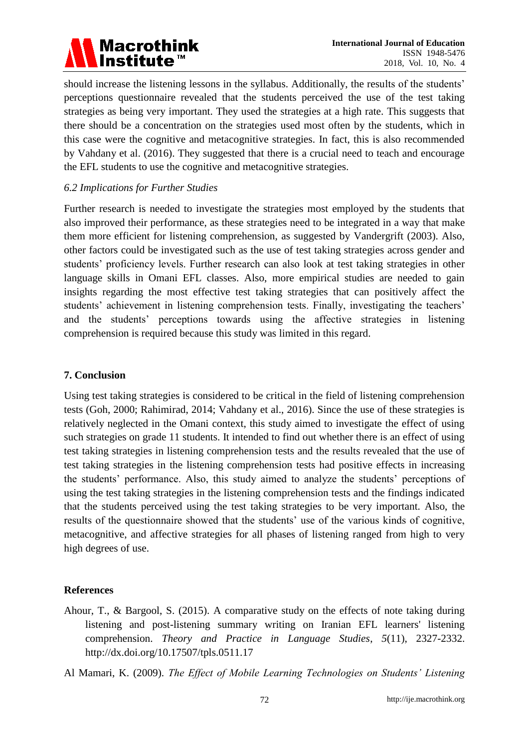# Macrothink<br>Institute™

should increase the listening lessons in the syllabus. Additionally, the results of the students' perceptions questionnaire revealed that the students perceived the use of the test taking strategies as being very important. They used the strategies at a high rate. This suggests that there should be a concentration on the strategies used most often by the students, which in this case were the cognitive and metacognitive strategies. In fact, this is also recommended by Vahdany et al. (2016). They suggested that there is a crucial need to teach and encourage the EFL students to use the cognitive and metacognitive strategies.

# *6.2 Implications for Further Studies*

Further research is needed to investigate the strategies most employed by the students that also improved their performance, as these strategies need to be integrated in a way that make them more efficient for listening comprehension, as suggested by Vandergrift (2003). Also, other factors could be investigated such as the use of test taking strategies across gender and students' proficiency levels. Further research can also look at test taking strategies in other language skills in Omani EFL classes. Also, more empirical studies are needed to gain insights regarding the most effective test taking strategies that can positively affect the students' achievement in listening comprehension tests. Finally, investigating the teachers' and the students' perceptions towards using the affective strategies in listening comprehension is required because this study was limited in this regard.

# **7. Conclusion**

Using test taking strategies is considered to be critical in the field of listening comprehension tests (Goh, 2000; Rahimirad, 2014; Vahdany et al., 2016). Since the use of these strategies is relatively neglected in the Omani context, this study aimed to investigate the effect of using such strategies on grade 11 students. It intended to find out whether there is an effect of using test taking strategies in listening comprehension tests and the results revealed that the use of test taking strategies in the listening comprehension tests had positive effects in increasing the students' performance. Also, this study aimed to analyze the students' perceptions of using the test taking strategies in the listening comprehension tests and the findings indicated that the students perceived using the test taking strategies to be very important. Also, the results of the questionnaire showed that the students' use of the various kinds of cognitive, metacognitive, and affective strategies for all phases of listening ranged from high to very high degrees of use.

# **References**

Ahour, T., & Bargool, S. (2015). A comparative study on the effects of note taking during listening and post-listening summary writing on Iranian EFL learners' listening comprehension. *Theory and Practice in Language Studies*, *5*(11), 2327-2332. http://dx.doi.org/10.17507/tpls.0511.17

Al Mamari, K. (2009). *The Effect of Mobile Learning Technologies on Students' Listening*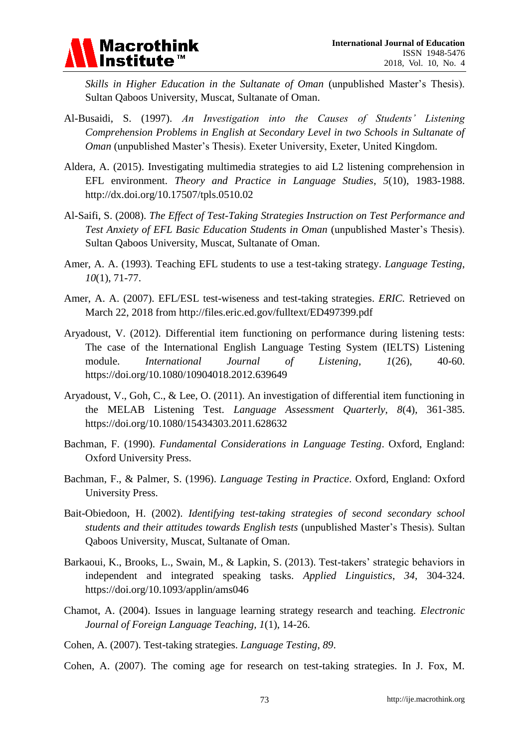

*Skills in Higher Education in the Sultanate of Oman* (unpublished Master's Thesis). Sultan Qaboos University, Muscat, Sultanate of Oman.

- Al-Busaidi, S. (1997). *An Investigation into the Causes of Students' Listening Comprehension Problems in English at Secondary Level in two Schools in Sultanate of Oman* (unpublished Master's Thesis). Exeter University, Exeter, United Kingdom.
- Aldera, A. (2015). Investigating multimedia strategies to aid L2 listening comprehension in EFL environment. *Theory and Practice in Language Studies*, *5*(10), 1983-1988. http://dx.doi.org/10.17507/tpls.0510.02
- Al-Saifi, S. (2008). *The Effect of Test-Taking Strategies Instruction on Test Performance and Test Anxiety of EFL Basic Education Students in Oman* (unpublished Master's Thesis). Sultan Qaboos University, Muscat, Sultanate of Oman.
- Amer, A. A. (1993). Teaching EFL students to use a test-taking strategy. *Language Testing*, *10*(1), 71-77.
- Amer, A. A. (2007). EFL/ESL test-wiseness and test-taking strategies. *ERIC.* Retrieved on March 22, 2018 from http://files.eric.ed.gov/fulltext/ED497399.pdf
- Aryadoust, V. (2012). Differential item functioning on performance during listening tests: The case of the International English Language Testing System (IELTS) Listening module. *International Journal of Listening*, *1*(26), 40-60. https://doi.org/10.1080/10904018.2012.639649
- Aryadoust, V., Goh, C., & Lee, O. (2011). An investigation of differential item functioning in the MELAB Listening Test. *Language Assessment Quarterly*, *8*(4), 361-385. https://doi.org/10.1080/15434303.2011.628632
- Bachman, F. (1990). *Fundamental Considerations in Language Testing*. Oxford, England: Oxford University Press.
- Bachman, F., & Palmer, S. (1996). *Language Testing in Practice*. Oxford, England: Oxford University Press.
- Bait-Obiedoon, H. (2002). *Identifying test-taking strategies of second secondary school students and their attitudes towards English tests* (unpublished Master's Thesis)*.* Sultan Qaboos University, Muscat, Sultanate of Oman.
- Barkaoui, K., Brooks, L., Swain, M., & Lapkin, S. (2013). Test-takers' strategic behaviors in independent and integrated speaking tasks. *Applied Linguistics*, *34*, 304-324. https://doi.org/10.1093/applin/ams046
- Chamot, A. (2004). Issues in language learning strategy research and teaching. *Electronic Journal of Foreign Language Teaching, 1*(1), 14-26.
- Cohen, A. (2007). Test-taking strategies. *Language Testing*, *89*.

Cohen, A. (2007). The coming age for research on test-taking strategies. In J. Fox, M.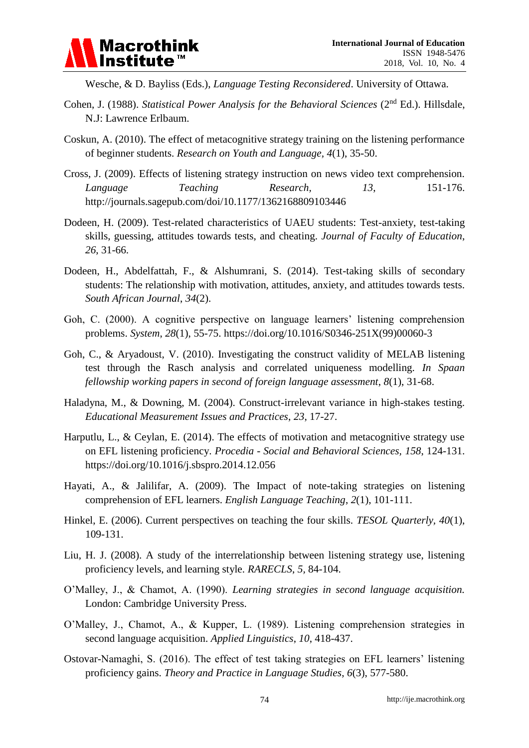

Wesche, & D. Bayliss (Eds.), *Language Testing Reconsidered*. University of Ottawa.

- Cohen, J. (1988). *Statistical Power Analysis for the Behavioral Sciences* (2<sup>nd</sup> Ed.). Hillsdale, N.J: Lawrence Erlbaum.
- Coskun, A. (2010). The effect of metacognitive strategy training on the listening performance of beginner students. *Research on Youth and Language, 4*(1), 35-50.
- Cross, J. (2009). Effects of listening strategy instruction on news video text comprehension. *Language Teaching Research,* 13, 151-176. http://journals.sagepub.com/doi/10.1177/1362168809103446
- Dodeen, H. (2009). Test-related characteristics of UAEU students: Test-anxiety, test-taking skills, guessing, attitudes towards tests, and cheating. *Journal of Faculty of Education*, *26*, 31-66.
- Dodeen, H., Abdelfattah, F., & Alshumrani, S. (2014). Test-taking skills of secondary students: The relationship with motivation, attitudes, anxiety, and attitudes towards tests. *South African Journal*, *34*(2).
- Goh, C. (2000). A cognitive perspective on language learners' listening comprehension problems. *System*, *28*(1), 55-75. https://doi.org/10.1016/S0346-251X(99)00060-3
- Goh, C., & Aryadoust, V. (2010). Investigating the construct validity of MELAB listening test through the Rasch analysis and correlated uniqueness modelling. *In Spaan fellowship working papers in second of foreign language assessment*, *8*(1), 31-68.
- Haladyna, M., & Downing, M. (2004). Construct-irrelevant variance in high-stakes testing. *Educational Measurement Issues and Practices*, *23*, 17-27.
- Harputlu, L., & Ceylan, E. (2014). The effects of motivation and metacognitive strategy use on EFL listening proficiency. *Procedia - Social and Behavioral Sciences, 158*, 124-131. <https://doi.org/10.1016/j.sbspro.2014.12.056>
- Hayati, A., & Jalilifar, A. (2009). The Impact of note-taking strategies on listening comprehension of EFL learners. *English Language Teaching*, *2*(1), 101-111.
- Hinkel, E. (2006). Current perspectives on teaching the four skills. *TESOL Quarterly, 40*(1), 109-131.
- Liu, H. J. (2008). A study of the interrelationship between listening strategy use, listening proficiency levels, and learning style. *RARECLS*, *5,* 84-104.
- O'Malley, J., & Chamot, A. (1990). *Learning strategies in second language acquisition.*  London: Cambridge University Press.
- O'Malley, J., Chamot, A., & Kupper, L. (1989). Listening comprehension strategies in second language acquisition. *Applied Linguistics*, *10*, 418-437.
- Ostovar-Namaghi, S. (2016). The effect of test taking strategies on EFL learners' listening proficiency gains. *Theory and Practice in Language Studies*, *6*(3), 577-580.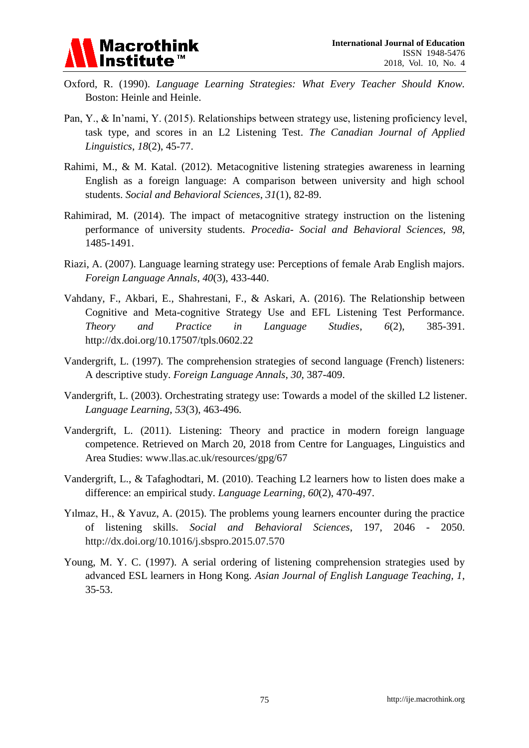

- Oxford, R. (1990). *Language Learning Strategies: What Every Teacher Should Know.*  Boston: Heinle and Heinle.
- Pan, Y., & In'nami, Y. (2015). Relationships between strategy use, listening proficiency level, task type, and scores in an L2 Listening Test. *The Canadian Journal of Applied Linguistics*, *18*(2), 45-77.
- Rahimi, M., & M. Katal. (2012). Metacognitive listening strategies awareness in learning English as a foreign language: A comparison between university and high school students. *Social and Behavioral Sciences*, *31*(1), 82-89.
- Rahimirad, M. (2014). The impact of metacognitive strategy instruction on the listening performance of university students. *Procedia- Social and Behavioral Sciences, 98*, 1485-1491.
- Riazi, A. (2007). Language learning strategy use: Perceptions of female Arab English majors. *Foreign Language Annals*, *40*(3), 433-440.
- Vahdany, F., Akbari, E., Shahrestani, F., & Askari, A. (2016). The Relationship between Cognitive and Meta-cognitive Strategy Use and EFL Listening Test Performance. *Theory and Practice in Language Studies*, *6*(2), 385-391. <http://dx.doi.org/10.17507/tpls.0602.22>
- Vandergrift, L. (1997). The comprehension strategies of second language (French) listeners: A descriptive study. *Foreign Language Annals*, *30*, 387-409.
- Vandergrift, L. (2003). Orchestrating strategy use: Towards a model of the skilled L2 listener. *Language Learning*, *53*(3), 463-496.
- Vandergrift, L. (2011). Listening: Theory and practice in modern foreign language competence. Retrieved on March 20, 2018 from Centre for Languages, Linguistics and Area Studies: www.llas.ac.uk/resources/gpg/67
- Vandergrift, L., & Tafaghodtari, M. (2010). Teaching L2 learners how to listen does make a difference: an empirical study. *Language Learning*, *60*(2), 470-497.
- Yılmaz, H., & Yavuz, A. (2015). The problems young learners encounter during the practice of listening skills. *Social and Behavioral Sciences*, 197, 2046 - 2050. http://dx.doi.org/10.1016/j.sbspro.2015.07.570
- Young, M. Y. C. (1997). A serial ordering of listening comprehension strategies used by advanced ESL learners in Hong Kong. *Asian Journal of English Language Teaching, 1*, 35-53.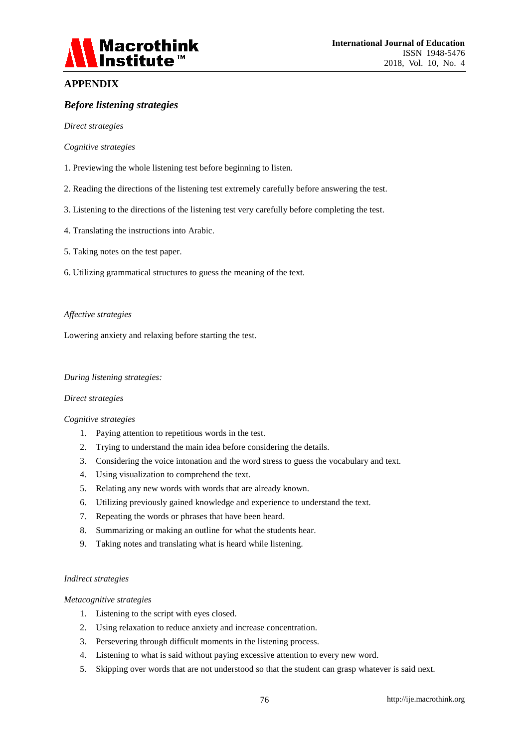

#### **APPENDIX**

#### *Before listening strategies*

*Direct strategies*

#### *Cognitive strategies*

- 1. Previewing the whole listening test before beginning to listen.
- 2. Reading the directions of the listening test extremely carefully before answering the test.
- 3. Listening to the directions of the listening test very carefully before completing the test.
- 4. Translating the instructions into Arabic.
- 5. Taking notes on the test paper.
- 6. Utilizing grammatical structures to guess the meaning of the text.

#### *Affective strategies*

Lowering anxiety and relaxing before starting the test.

#### *During listening strategies:*

#### *Direct strategies*

#### *Cognitive strategies*

- 1. Paying attention to repetitious words in the test.
- 2. Trying to understand the main idea before considering the details.
- 3. Considering the voice intonation and the word stress to guess the vocabulary and text.
- 4. Using visualization to comprehend the text.
- 5. Relating any new words with words that are already known.
- 6. Utilizing previously gained knowledge and experience to understand the text.
- 7. Repeating the words or phrases that have been heard.
- 8. Summarizing or making an outline for what the students hear.
- 9. Taking notes and translating what is heard while listening.

#### *Indirect strategies*

#### *Metacognitive strategies*

- 1. Listening to the script with eyes closed.
- 2. Using relaxation to reduce anxiety and increase concentration.
- 3. Persevering through difficult moments in the listening process.
- 4. Listening to what is said without paying excessive attention to every new word.
- 5. Skipping over words that are not understood so that the student can grasp whatever is said next.